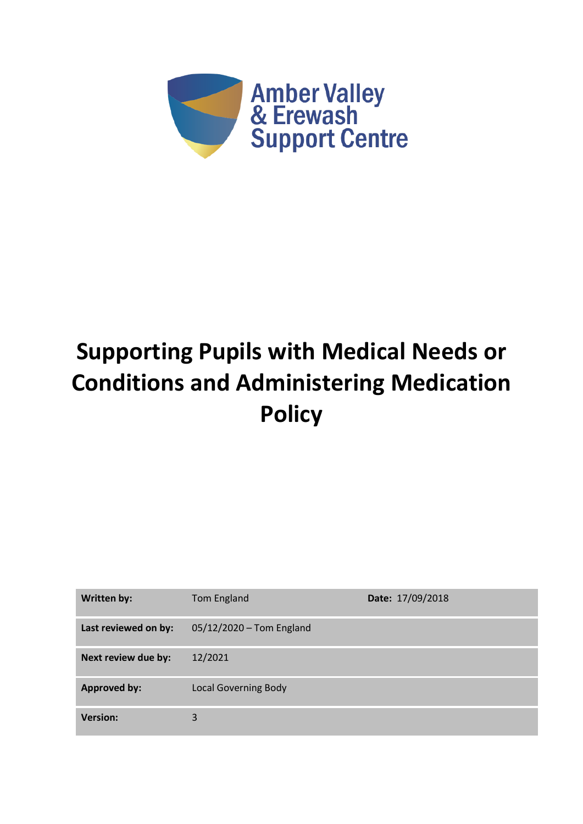

# **Supporting Pupils with Medical Needs or Conditions and Administering Medication Policy**

| <b>Written by:</b>   | Tom England                 | Date: 17/09/2018 |
|----------------------|-----------------------------|------------------|
| Last reviewed on by: | 05/12/2020 - Tom England    |                  |
| Next review due by:  | 12/2021                     |                  |
| <b>Approved by:</b>  | <b>Local Governing Body</b> |                  |
| <b>Version:</b>      | 3                           |                  |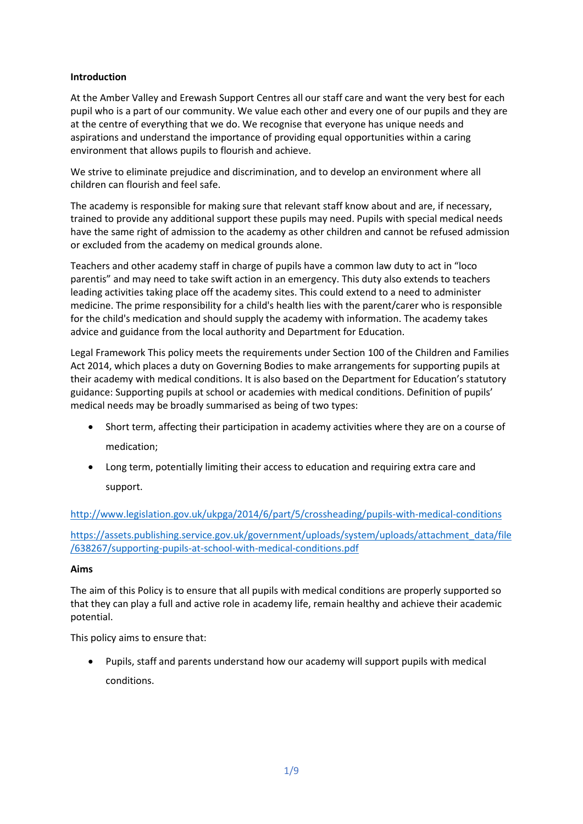## **Introduction**

At the Amber Valley and Erewash Support Centres all our staff care and want the very best for each pupil who is a part of our community. We value each other and every one of our pupils and they are at the centre of everything that we do. We recognise that everyone has unique needs and aspirations and understand the importance of providing equal opportunities within a caring environment that allows pupils to flourish and achieve.

We strive to eliminate prejudice and discrimination, and to develop an environment where all children can flourish and feel safe.

The academy is responsible for making sure that relevant staff know about and are, if necessary, trained to provide any additional support these pupils may need. Pupils with special medical needs have the same right of admission to the academy as other children and cannot be refused admission or excluded from the academy on medical grounds alone.

Teachers and other academy staff in charge of pupils have a common law duty to act in "loco parentis" and may need to take swift action in an emergency. This duty also extends to teachers leading activities taking place off the academy sites. This could extend to a need to administer medicine. The prime responsibility for a child's health lies with the parent/carer who is responsible for the child's medication and should supply the academy with information. The academy takes advice and guidance from the local authority and Department for Education.

Legal Framework This policy meets the requirements under Section 100 of the Children and Families Act 2014, which places a duty on Governing Bodies to make arrangements for supporting pupils at their academy with medical conditions. It is also based on the Department for Education's statutory guidance: Supporting pupils at school or academies with medical conditions. Definition of pupils' medical needs may be broadly summarised as being of two types:

- Short term, affecting their participation in academy activities where they are on a course of medication;
- Long term, potentially limiting their access to education and requiring extra care and support.

<http://www.legislation.gov.uk/ukpga/2014/6/part/5/crossheading/pupils-with-medical-conditions>

[https://assets.publishing.service.gov.uk/government/uploads/system/uploads/attachment\\_data/file](https://assets.publishing.service.gov.uk/government/uploads/system/uploads/attachment_data/file/638267/supporting-pupils-at-school-with-medical-conditions.pdf) [/638267/supporting-pupils-at-school-with-medical-conditions.pdf](https://assets.publishing.service.gov.uk/government/uploads/system/uploads/attachment_data/file/638267/supporting-pupils-at-school-with-medical-conditions.pdf)

#### **Aims**

The aim of this Policy is to ensure that all pupils with medical conditions are properly supported so that they can play a full and active role in academy life, remain healthy and achieve their academic potential.

This policy aims to ensure that:

• Pupils, staff and parents understand how our academy will support pupils with medical conditions.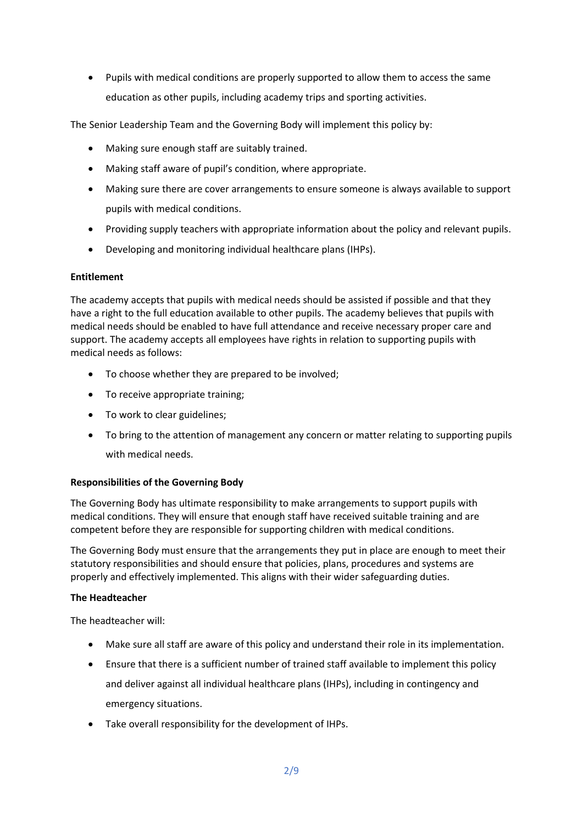• Pupils with medical conditions are properly supported to allow them to access the same education as other pupils, including academy trips and sporting activities.

The Senior Leadership Team and the Governing Body will implement this policy by:

- Making sure enough staff are suitably trained.
- Making staff aware of pupil's condition, where appropriate.
- Making sure there are cover arrangements to ensure someone is always available to support pupils with medical conditions.
- Providing supply teachers with appropriate information about the policy and relevant pupils.
- Developing and monitoring individual healthcare plans (IHPs).

## **Entitlement**

The academy accepts that pupils with medical needs should be assisted if possible and that they have a right to the full education available to other pupils. The academy believes that pupils with medical needs should be enabled to have full attendance and receive necessary proper care and support. The academy accepts all employees have rights in relation to supporting pupils with medical needs as follows:

- To choose whether they are prepared to be involved;
- To receive appropriate training;
- To work to clear guidelines;
- To bring to the attention of management any concern or matter relating to supporting pupils with medical needs.

## **Responsibilities of the Governing Body**

The Governing Body has ultimate responsibility to make arrangements to support pupils with medical conditions. They will ensure that enough staff have received suitable training and are competent before they are responsible for supporting children with medical conditions.

The Governing Body must ensure that the arrangements they put in place are enough to meet their statutory responsibilities and should ensure that policies, plans, procedures and systems are properly and effectively implemented. This aligns with their wider safeguarding duties.

#### **The Headteacher**

The headteacher will:

- Make sure all staff are aware of this policy and understand their role in its implementation.
- Ensure that there is a sufficient number of trained staff available to implement this policy and deliver against all individual healthcare plans (IHPs), including in contingency and emergency situations.
- Take overall responsibility for the development of IHPs.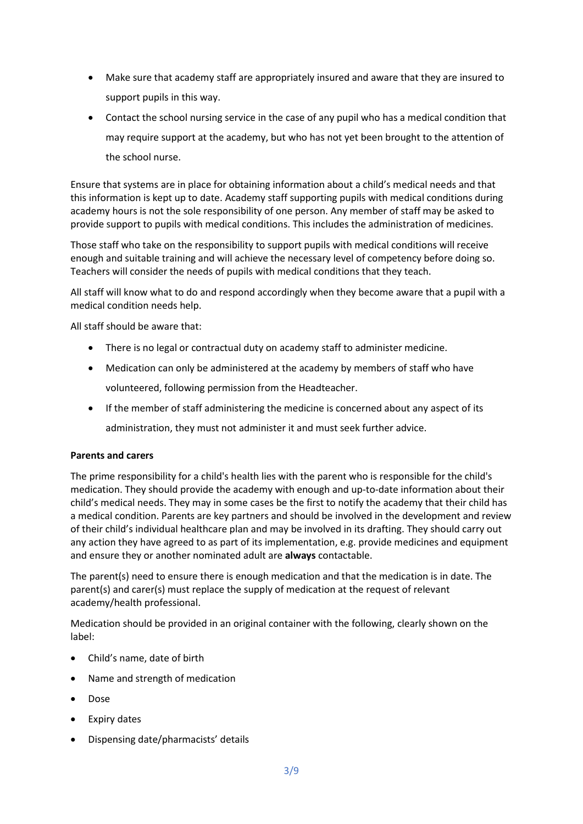- Make sure that academy staff are appropriately insured and aware that they are insured to support pupils in this way.
- Contact the school nursing service in the case of any pupil who has a medical condition that may require support at the academy, but who has not yet been brought to the attention of the school nurse.

Ensure that systems are in place for obtaining information about a child's medical needs and that this information is kept up to date. Academy staff supporting pupils with medical conditions during academy hours is not the sole responsibility of one person. Any member of staff may be asked to provide support to pupils with medical conditions. This includes the administration of medicines.

Those staff who take on the responsibility to support pupils with medical conditions will receive enough and suitable training and will achieve the necessary level of competency before doing so. Teachers will consider the needs of pupils with medical conditions that they teach.

All staff will know what to do and respond accordingly when they become aware that a pupil with a medical condition needs help.

All staff should be aware that:

- There is no legal or contractual duty on academy staff to administer medicine.
- Medication can only be administered at the academy by members of staff who have volunteered, following permission from the Headteacher.
- If the member of staff administering the medicine is concerned about any aspect of its administration, they must not administer it and must seek further advice.

#### **Parents and carers**

The prime responsibility for a child's health lies with the parent who is responsible for the child's medication. They should provide the academy with enough and up-to-date information about their child's medical needs. They may in some cases be the first to notify the academy that their child has a medical condition. Parents are key partners and should be involved in the development and review of their child's individual healthcare plan and may be involved in its drafting. They should carry out any action they have agreed to as part of its implementation, e.g. provide medicines and equipment and ensure they or another nominated adult are **always** contactable.

The parent(s) need to ensure there is enough medication and that the medication is in date. The parent(s) and carer(s) must replace the supply of medication at the request of relevant academy/health professional.

Medication should be provided in an original container with the following, clearly shown on the label:

- Child's name, date of birth
- Name and strength of medication
- Dose
- **Expiry dates**
- Dispensing date/pharmacists' details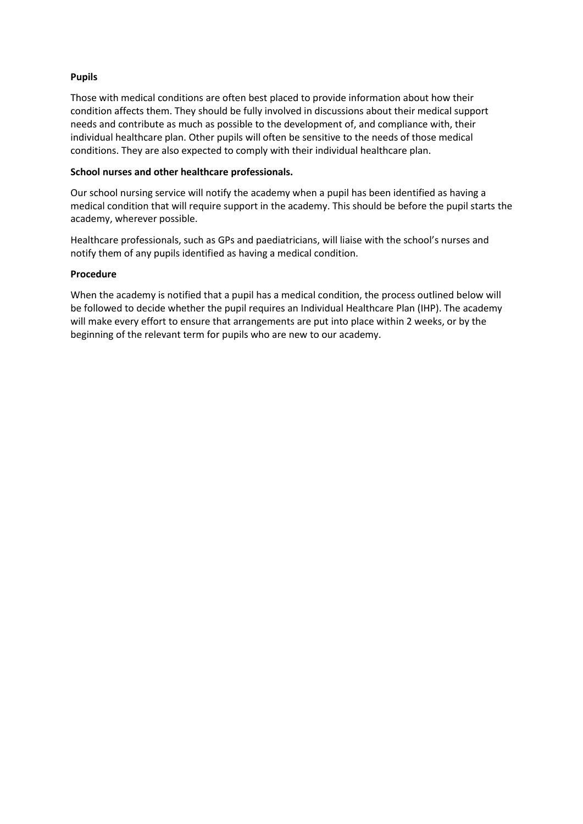## **Pupils**

Those with medical conditions are often best placed to provide information about how their condition affects them. They should be fully involved in discussions about their medical support needs and contribute as much as possible to the development of, and compliance with, their individual healthcare plan. Other pupils will often be sensitive to the needs of those medical conditions. They are also expected to comply with their individual healthcare plan.

#### **School nurses and other healthcare professionals.**

Our school nursing service will notify the academy when a pupil has been identified as having a medical condition that will require support in the academy. This should be before the pupil starts the academy, wherever possible.

Healthcare professionals, such as GPs and paediatricians, will liaise with the school's nurses and notify them of any pupils identified as having a medical condition.

## **Procedure**

When the academy is notified that a pupil has a medical condition, the process outlined below will be followed to decide whether the pupil requires an Individual Healthcare Plan (IHP). The academy will make every effort to ensure that arrangements are put into place within 2 weeks, or by the beginning of the relevant term for pupils who are new to our academy.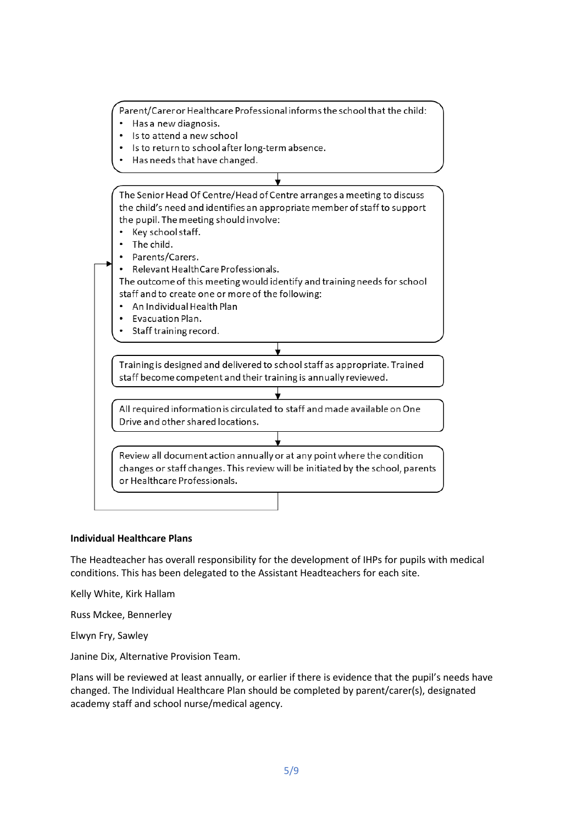Parent/Carer or Healthcare Professional informs the school that the child:

- Has a new diagnosis.
- Is to attend a new school
- Is to return to school after long-term absence.
- Has needs that have changed.

The Senior Head Of Centre/Head of Centre arranges a meeting to discuss the child's need and identifies an appropriate member of staff to support the pupil. The meeting should involve: • Key school staff. • The child. Parents/Carers. Relevant HealthCare Professionals. The outcome of this meeting would identify and training needs for school staff and to create one or more of the following: • An Individual Health Plan Evacuation Plan. Staff training record. Training is designed and delivered to school staff as appropriate. Trained staff become competent and their training is annually reviewed. All required information is circulated to staff and made available on One Drive and other shared locations. Review all document action annually or at any point where the condition changes or staff changes. This review will be initiated by the school, parents or Healthcare Professionals.

#### **Individual Healthcare Plans**

The Headteacher has overall responsibility for the development of IHPs for pupils with medical conditions. This has been delegated to the Assistant Headteachers for each site.

Kelly White, Kirk Hallam

Russ Mckee, Bennerley

Elwyn Fry, Sawley

Janine Dix, Alternative Provision Team.

Plans will be reviewed at least annually, or earlier if there is evidence that the pupil's needs have changed. The Individual Healthcare Plan should be completed by parent/carer(s), designated academy staff and school nurse/medical agency.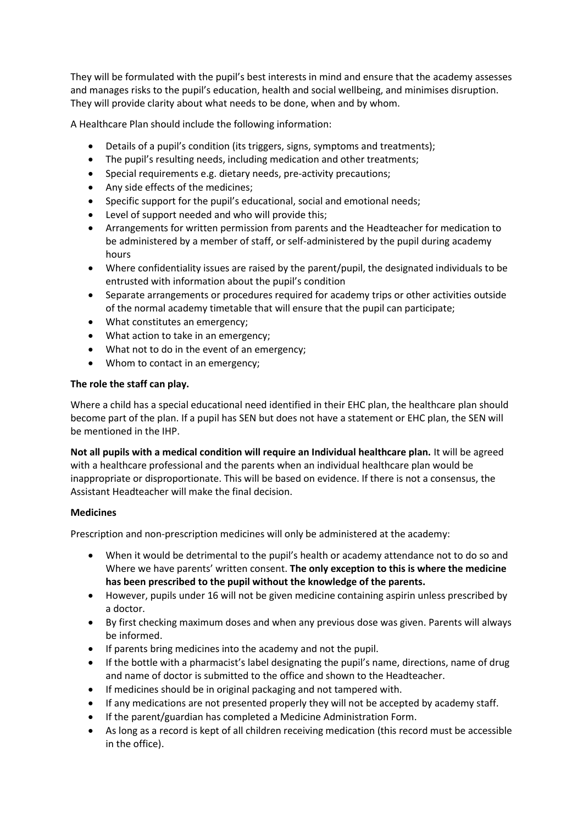They will be formulated with the pupil's best interests in mind and ensure that the academy assesses and manages risks to the pupil's education, health and social wellbeing, and minimises disruption. They will provide clarity about what needs to be done, when and by whom.

A Healthcare Plan should include the following information:

- Details of a pupil's condition (its triggers, signs, symptoms and treatments);
- The pupil's resulting needs, including medication and other treatments;
- Special requirements e.g. dietary needs, pre-activity precautions;
- Any side effects of the medicines;
- Specific support for the pupil's educational, social and emotional needs;
- Level of support needed and who will provide this;
- Arrangements for written permission from parents and the Headteacher for medication to be administered by a member of staff, or self-administered by the pupil during academy hours
- Where confidentiality issues are raised by the parent/pupil, the designated individuals to be entrusted with information about the pupil's condition
- Separate arrangements or procedures required for academy trips or other activities outside of the normal academy timetable that will ensure that the pupil can participate;
- What constitutes an emergency;
- What action to take in an emergency;
- What not to do in the event of an emergency;
- Whom to contact in an emergency;

## **The role the staff can play.**

Where a child has a special educational need identified in their EHC plan, the healthcare plan should become part of the plan. If a pupil has SEN but does not have a statement or EHC plan, the SEN will be mentioned in the IHP.

**Not all pupils with a medical condition will require an Individual healthcare plan.** It will be agreed with a healthcare professional and the parents when an individual healthcare plan would be inappropriate or disproportionate. This will be based on evidence. If there is not a consensus, the Assistant Headteacher will make the final decision.

## **Medicines**

Prescription and non-prescription medicines will only be administered at the academy:

- When it would be detrimental to the pupil's health or academy attendance not to do so and Where we have parents' written consent. **The only exception to this is where the medicine has been prescribed to the pupil without the knowledge of the parents.**
- However, pupils under 16 will not be given medicine containing aspirin unless prescribed by a doctor.
- By first checking maximum doses and when any previous dose was given. Parents will always be informed.
- If parents bring medicines into the academy and not the pupil.
- If the bottle with a pharmacist's label designating the pupil's name, directions, name of drug and name of doctor is submitted to the office and shown to the Headteacher.
- If medicines should be in original packaging and not tampered with.
- If any medications are not presented properly they will not be accepted by academy staff.
- If the parent/guardian has completed a Medicine Administration Form.
- As long as a record is kept of all children receiving medication (this record must be accessible in the office).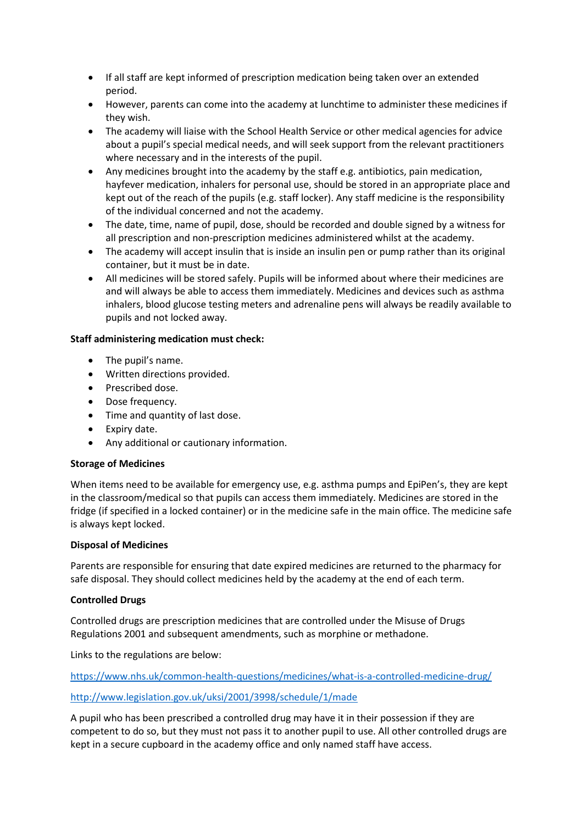- If all staff are kept informed of prescription medication being taken over an extended period.
- However, parents can come into the academy at lunchtime to administer these medicines if they wish.
- The academy will liaise with the School Health Service or other medical agencies for advice about a pupil's special medical needs, and will seek support from the relevant practitioners where necessary and in the interests of the pupil.
- Any medicines brought into the academy by the staff e.g. antibiotics, pain medication, hayfever medication, inhalers for personal use, should be stored in an appropriate place and kept out of the reach of the pupils (e.g. staff locker). Any staff medicine is the responsibility of the individual concerned and not the academy.
- The date, time, name of pupil, dose, should be recorded and double signed by a witness for all prescription and non-prescription medicines administered whilst at the academy.
- The academy will accept insulin that is inside an insulin pen or pump rather than its original container, but it must be in date.
- All medicines will be stored safely. Pupils will be informed about where their medicines are and will always be able to access them immediately. Medicines and devices such as asthma inhalers, blood glucose testing meters and adrenaline pens will always be readily available to pupils and not locked away.

## **Staff administering medication must check:**

- The pupil's name.
- Written directions provided.
- Prescribed dose.
- Dose frequency.
- Time and quantity of last dose.
- Expiry date.
- Any additional or cautionary information.

#### **Storage of Medicines**

When items need to be available for emergency use, e.g. asthma pumps and EpiPen's, they are kept in the classroom/medical so that pupils can access them immediately. Medicines are stored in the fridge (if specified in a locked container) or in the medicine safe in the main office. The medicine safe is always kept locked.

#### **Disposal of Medicines**

Parents are responsible for ensuring that date expired medicines are returned to the pharmacy for safe disposal. They should collect medicines held by the academy at the end of each term.

#### **Controlled Drugs**

Controlled drugs are prescription medicines that are controlled under the Misuse of Drugs Regulations 2001 and subsequent amendments, such as morphine or methadone.

Links to the regulations are below:

<https://www.nhs.uk/common-health-questions/medicines/what-is-a-controlled-medicine-drug/>

#### <http://www.legislation.gov.uk/uksi/2001/3998/schedule/1/made>

A pupil who has been prescribed a controlled drug may have it in their possession if they are competent to do so, but they must not pass it to another pupil to use. All other controlled drugs are kept in a secure cupboard in the academy office and only named staff have access.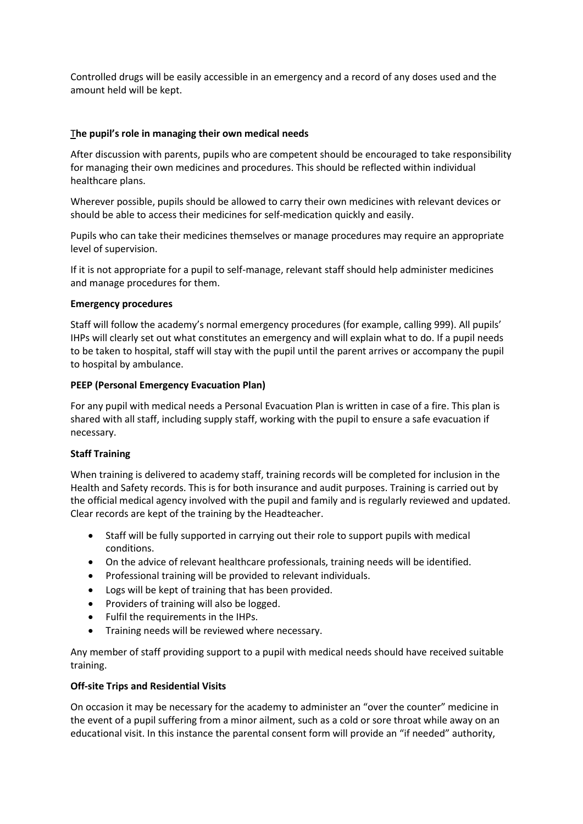Controlled drugs will be easily accessible in an emergency and a record of any doses used and the amount held will be kept.

### T**he pupil's role in managing their own medical needs**

After discussion with parents, pupils who are competent should be encouraged to take responsibility for managing their own medicines and procedures. This should be reflected within individual healthcare plans.

Wherever possible, pupils should be allowed to carry their own medicines with relevant devices or should be able to access their medicines for self-medication quickly and easily.

Pupils who can take their medicines themselves or manage procedures may require an appropriate level of supervision.

If it is not appropriate for a pupil to self-manage, relevant staff should help administer medicines and manage procedures for them.

#### **Emergency procedures**

Staff will follow the academy's normal emergency procedures (for example, calling 999). All pupils' IHPs will clearly set out what constitutes an emergency and will explain what to do. If a pupil needs to be taken to hospital, staff will stay with the pupil until the parent arrives or accompany the pupil to hospital by ambulance.

## **PEEP (Personal Emergency Evacuation Plan)**

For any pupil with medical needs a Personal Evacuation Plan is written in case of a fire. This plan is shared with all staff, including supply staff, working with the pupil to ensure a safe evacuation if necessary.

#### **Staff Training**

When training is delivered to academy staff, training records will be completed for inclusion in the Health and Safety records. This is for both insurance and audit purposes. Training is carried out by the official medical agency involved with the pupil and family and is regularly reviewed and updated. Clear records are kept of the training by the Headteacher.

- Staff will be fully supported in carrying out their role to support pupils with medical conditions.
- On the advice of relevant healthcare professionals, training needs will be identified.
- Professional training will be provided to relevant individuals.
- Logs will be kept of training that has been provided.
- Providers of training will also be logged.
- Fulfil the requirements in the IHPs.
- Training needs will be reviewed where necessary.

Any member of staff providing support to a pupil with medical needs should have received suitable training.

## **Off-site Trips and Residential Visits**

On occasion it may be necessary for the academy to administer an "over the counter" medicine in the event of a pupil suffering from a minor ailment, such as a cold or sore throat while away on an educational visit. In this instance the parental consent form will provide an "if needed" authority,